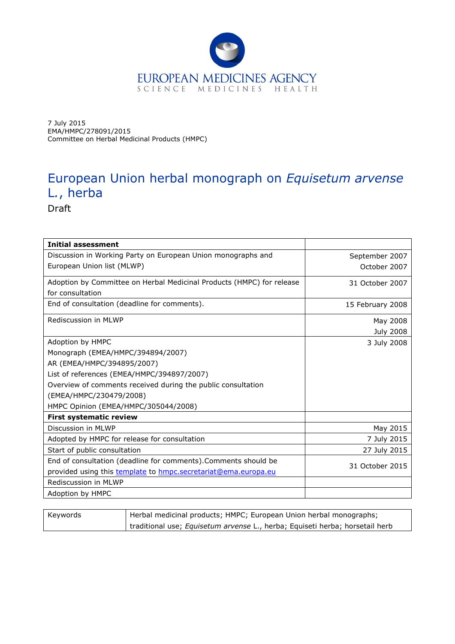

7 July 2015 EMA/HMPC/278091/2015 Committee on Herbal Medicinal Products (HMPC)

# European Union herbal monograph on *Equisetum arvense* L*.*, herba

Draft

| <b>Initial assessment</b>                                             |                  |
|-----------------------------------------------------------------------|------------------|
| Discussion in Working Party on European Union monographs and          | September 2007   |
| European Union list (MLWP)                                            | October 2007     |
| Adoption by Committee on Herbal Medicinal Products (HMPC) for release | 31 October 2007  |
| for consultation                                                      |                  |
| End of consultation (deadline for comments).                          | 15 February 2008 |
| Rediscussion in MLWP                                                  | May 2008         |
|                                                                       | July 2008        |
| Adoption by HMPC                                                      | 3 July 2008      |
| Monograph (EMEA/HMPC/394894/2007)                                     |                  |
| AR (EMEA/HMPC/394895/2007)                                            |                  |
| List of references (EMEA/HMPC/394897/2007)                            |                  |
| Overview of comments received during the public consultation          |                  |
| (EMEA/HMPC/230479/2008)                                               |                  |
| HMPC Opinion (EMEA/HMPC/305044/2008)                                  |                  |
| <b>First systematic review</b>                                        |                  |
| Discussion in MLWP                                                    | May 2015         |
| Adopted by HMPC for release for consultation                          | 7 July 2015      |
| Start of public consultation                                          | 27 July 2015     |
| End of consultation (deadline for comments). Comments should be       | 31 October 2015  |
| provided using this template to hmpc.secretariat@ema.europa.eu        |                  |
| Rediscussion in MLWP                                                  |                  |
| Adoption by HMPC                                                      |                  |

| Keywords | Herbal medicinal products; HMPC; European Union herbal monographs;           |
|----------|------------------------------------------------------------------------------|
|          | traditional use; Equisetum arvense L., herba; Equiseti herba; horsetail herb |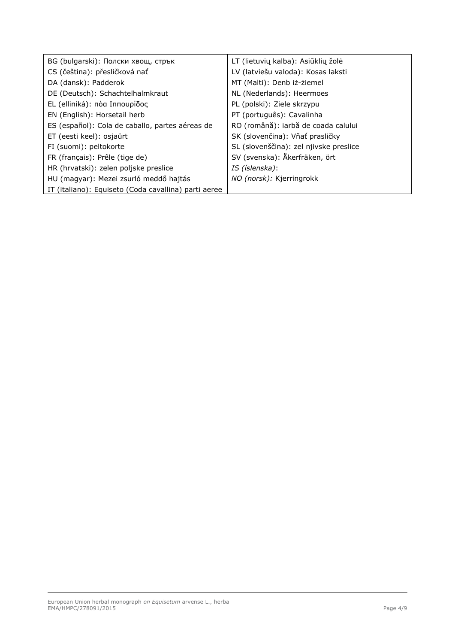| BG (bulgarski): Полски хвощ, стрък                   | LT (lietuvių kalba): Asiūklių žolė     |
|------------------------------------------------------|----------------------------------------|
| CS (čeština): přesličková nať                        | LV (latviešu valoda): Kosas laksti     |
| DA (dansk): Padderok                                 | MT (Malti): Denb iż-żiemel             |
| DE (Deutsch): Schachtelhalmkraut                     | NL (Nederlands): Heermoes              |
| EL (elliniká): πόα Ιππουρίδος                        | PL (polski): Ziele skrzypu             |
| EN (English): Horsetail herb                         | PT (português): Cavalinha              |
| ES (español): Cola de caballo, partes aéreas de      | RO (română): iarbă de coada calului    |
| ET (eesti keel): osjaürt                             | SK (slovenčina): Vňať prasličky        |
| FI (suomi): peltokorte                               | SL (slovenščina): zel njivske preslice |
| FR (français): Prêle (tige de)                       | SV (svenska): Åkerfräken, ört          |
| HR (hrvatski): zelen poljske preslice                | IS (íslenska):                         |
| HU (magyar): Mezei zsurló meddő hajtás               | NO (norsk): Kjerringrokk               |
| IT (italiano): Equiseto (Coda cavallina) parti aeree |                                        |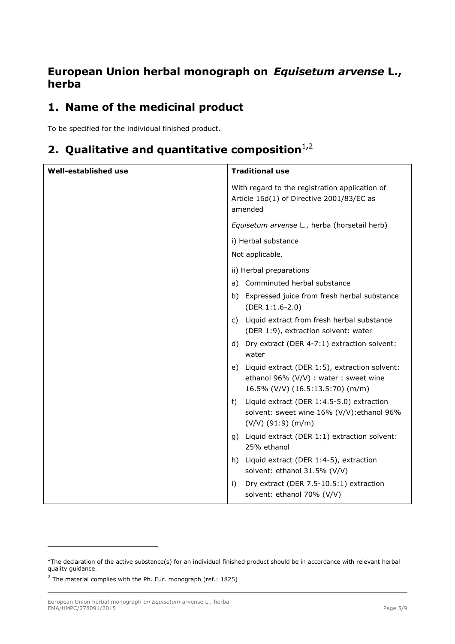### **European Union herbal monograph on** *Equisetum arvense* **L., herba**

# **1. Name of the medicinal product**

To be specified for the individual finished product.

# **2. Qualitative and quantitative composition**<sup>1,2</sup>

| Well-established use | <b>Traditional use</b>                                                                                                         |
|----------------------|--------------------------------------------------------------------------------------------------------------------------------|
|                      | With regard to the registration application of<br>Article 16d(1) of Directive 2001/83/EC as<br>amended                         |
|                      | Equisetum arvense L., herba (horsetail herb)                                                                                   |
|                      | i) Herbal substance<br>Not applicable.                                                                                         |
|                      | ii) Herbal preparations                                                                                                        |
|                      | a) Comminuted herbal substance                                                                                                 |
|                      | b) Expressed juice from fresh herbal substance<br>(DER $1:1.6-2.0$ )                                                           |
|                      | c) Liquid extract from fresh herbal substance<br>(DER 1:9), extraction solvent: water                                          |
|                      | d) Dry extract (DER 4-7:1) extraction solvent:<br>water                                                                        |
|                      | e) Liquid extract (DER 1:5), extraction solvent:<br>ethanol 96% (V/V) : water : sweet wine<br>16.5% (V/V) (16.5:13.5:70) (m/m) |
|                      | Liquid extract (DER 1:4.5-5.0) extraction<br>f)<br>solvent: sweet wine 16% (V/V): ethanol 96%<br>$(V/V)$ (91:9) (m/m)          |
|                      | g) Liquid extract (DER 1:1) extraction solvent:<br>25% ethanol                                                                 |
|                      | h) Liquid extract (DER 1:4-5), extraction<br>solvent: ethanol 31.5% (V/V)                                                      |
|                      | i)<br>Dry extract (DER 7.5-10.5:1) extraction<br>solvent: ethanol 70% (V/V)                                                    |

ł

 $1$ The declaration of the active substance(s) for an individual finished product should be in accordance with relevant herbal quality guidance.

 $2$  The material complies with the Ph. Eur. monograph (ref.: 1825)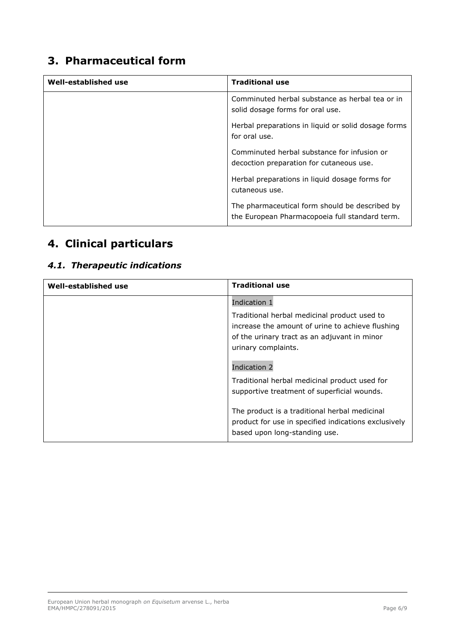## **3. Pharmaceutical form**

| Well-established use | <b>Traditional use</b>                                                                           |
|----------------------|--------------------------------------------------------------------------------------------------|
|                      | Comminuted herbal substance as herbal tea or in<br>solid dosage forms for oral use.              |
|                      | Herbal preparations in liquid or solid dosage forms<br>for oral use.                             |
|                      | Comminuted herbal substance for infusion or<br>decoction preparation for cutaneous use.          |
|                      | Herbal preparations in liquid dosage forms for<br>cutaneous use.                                 |
|                      | The pharmaceutical form should be described by<br>the European Pharmacopoeia full standard term. |

# **4. Clinical particulars**

### *4.1. Therapeutic indications*

| Well-established use | <b>Traditional use</b>                                                                                                                                                  |
|----------------------|-------------------------------------------------------------------------------------------------------------------------------------------------------------------------|
|                      | Indication 1                                                                                                                                                            |
|                      | Traditional herbal medicinal product used to<br>increase the amount of urine to achieve flushing<br>of the urinary tract as an adjuvant in minor<br>urinary complaints. |
|                      | Indication 2                                                                                                                                                            |
|                      | Traditional herbal medicinal product used for<br>supportive treatment of superficial wounds.                                                                            |
|                      | The product is a traditional herbal medicinal<br>product for use in specified indications exclusively<br>based upon long-standing use.                                  |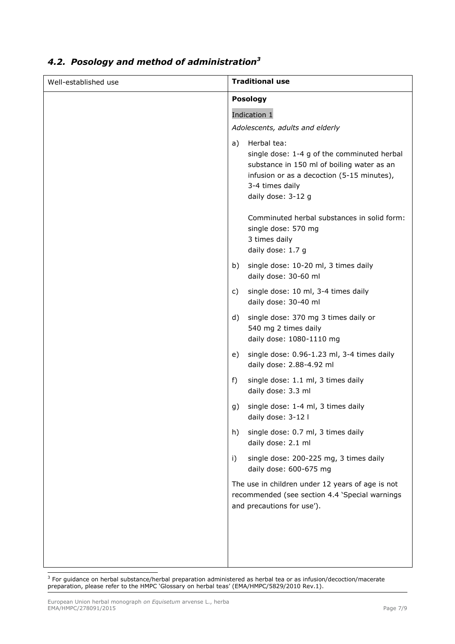| Well-established use | <b>Traditional use</b>                                                                                                                                                                                |
|----------------------|-------------------------------------------------------------------------------------------------------------------------------------------------------------------------------------------------------|
|                      | <b>Posology</b>                                                                                                                                                                                       |
|                      | Indication 1                                                                                                                                                                                          |
|                      | Adolescents, adults and elderly                                                                                                                                                                       |
|                      | Herbal tea:<br>a)<br>single dose: 1-4 g of the comminuted herbal<br>substance in 150 ml of boiling water as an<br>infusion or as a decoction (5-15 minutes),<br>3-4 times daily<br>daily dose: 3-12 g |
|                      | Comminuted herbal substances in solid form:<br>single dose: 570 mg<br>3 times daily<br>daily dose: 1.7 g                                                                                              |
|                      | single dose: 10-20 ml, 3 times daily<br>b)<br>daily dose: 30-60 ml                                                                                                                                    |
|                      | single dose: 10 ml, 3-4 times daily<br>C)<br>daily dose: 30-40 ml                                                                                                                                     |
|                      | single dose: 370 mg 3 times daily or<br>d)<br>540 mg 2 times daily<br>daily dose: 1080-1110 mg                                                                                                        |
|                      | single dose: 0.96-1.23 ml, 3-4 times daily<br>e)<br>daily dose: 2.88-4.92 ml                                                                                                                          |
|                      | single dose: 1.1 ml, 3 times daily<br>$f$ )<br>daily dose: 3.3 ml                                                                                                                                     |
|                      | single dose: 1-4 ml, 3 times daily<br>g)<br>daily dose: 3-12 l                                                                                                                                        |
|                      | single dose: 0.7 ml, 3 times daily<br>h)<br>daily dose: 2.1 ml                                                                                                                                        |
|                      | i)<br>single dose: 200-225 mg, 3 times daily<br>daily dose: 600-675 mg                                                                                                                                |
|                      | The use in children under 12 years of age is not<br>recommended (see section 4.4 'Special warnings<br>and precautions for use').                                                                      |
|                      |                                                                                                                                                                                                       |

### *4.2. Posology and method of administration<sup>3</sup>*

 3 For guidance on herbal substance/herbal preparation administered as herbal tea or as infusion/decoction/macerate preparation, please refer to the HMPC 'Glossary on herbal teas' (EMA/HMPC/5829/2010 Rev.1).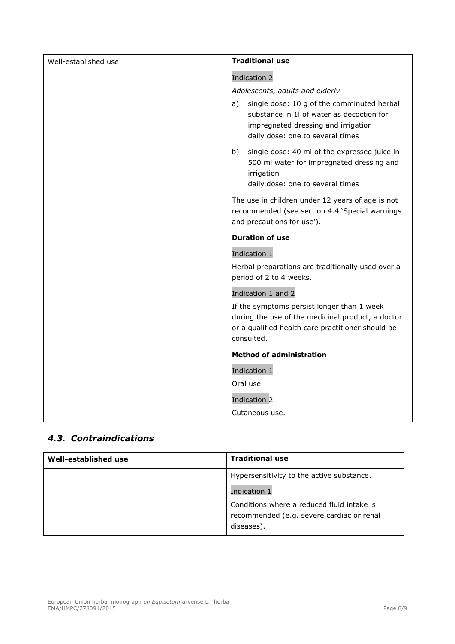| Well-established use | <b>Traditional use</b>                                                                                                                                                   |
|----------------------|--------------------------------------------------------------------------------------------------------------------------------------------------------------------------|
|                      | <b>Indication 2</b>                                                                                                                                                      |
|                      | Adolescents, adults and elderly                                                                                                                                          |
|                      | single dose: 10 g of the comminuted herbal<br>a)<br>substance in 11 of water as decoction for<br>impregnated dressing and irrigation<br>daily dose: one to several times |
|                      | single dose: 40 ml of the expressed juice in<br>b)<br>500 ml water for impregnated dressing and<br>irrigation<br>daily dose: one to several times                        |
|                      | The use in children under 12 years of age is not<br>recommended (see section 4.4 'Special warnings<br>and precautions for use').                                         |
|                      | <b>Duration of use</b>                                                                                                                                                   |
|                      | Indication 1                                                                                                                                                             |
|                      | Herbal preparations are traditionally used over a<br>period of 2 to 4 weeks.                                                                                             |
|                      | Indication 1 and 2                                                                                                                                                       |
|                      | If the symptoms persist longer than 1 week<br>during the use of the medicinal product, a doctor<br>or a qualified health care practitioner should be<br>consulted.       |
|                      | <b>Method of administration</b>                                                                                                                                          |
|                      | Indication 1                                                                                                                                                             |
|                      | Oral use.                                                                                                                                                                |
|                      | Indication <sub>2</sub>                                                                                                                                                  |
|                      | Cutaneous use.                                                                                                                                                           |

### *4.3. Contraindications*

| Well-established use | <b>Traditional use</b>                                                                  |
|----------------------|-----------------------------------------------------------------------------------------|
|                      | Hypersensitivity to the active substance.                                               |
|                      | Indication 1                                                                            |
|                      | Conditions where a reduced fluid intake is<br>recommended (e.g. severe cardiac or renal |
|                      | diseases).                                                                              |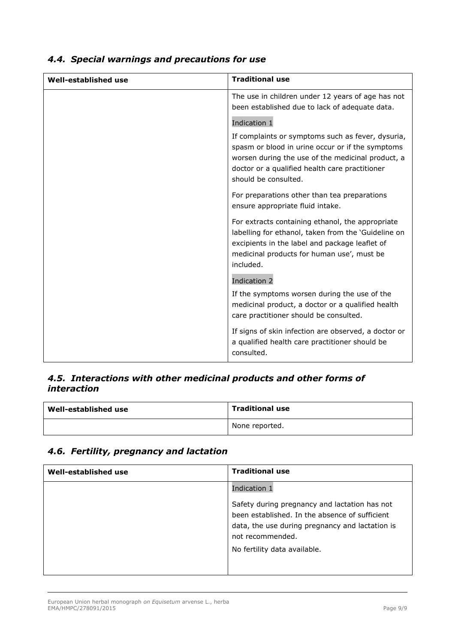| Well-established use | <b>Traditional use</b>                                                                                                                                                                                                               |
|----------------------|--------------------------------------------------------------------------------------------------------------------------------------------------------------------------------------------------------------------------------------|
|                      | The use in children under 12 years of age has not<br>been established due to lack of adequate data.<br>Indication 1                                                                                                                  |
|                      | If complaints or symptoms such as fever, dysuria,<br>spasm or blood in urine occur or if the symptoms<br>worsen during the use of the medicinal product, a<br>doctor or a qualified health care practitioner<br>should be consulted. |
|                      | For preparations other than tea preparations<br>ensure appropriate fluid intake.                                                                                                                                                     |
|                      | For extracts containing ethanol, the appropriate<br>labelling for ethanol, taken from the 'Guideline on<br>excipients in the label and package leaflet of<br>medicinal products for human use', must be<br>included.                 |
|                      | Indication 2                                                                                                                                                                                                                         |
|                      | If the symptoms worsen during the use of the<br>medicinal product, a doctor or a qualified health<br>care practitioner should be consulted.                                                                                          |
|                      | If signs of skin infection are observed, a doctor or<br>a qualified health care practitioner should be<br>consulted.                                                                                                                 |

### *4.4. Special warnings and precautions for use*

#### *4.5. Interactions with other medicinal products and other forms of interaction*

| Well-established use | <b>Traditional use</b> |
|----------------------|------------------------|
|                      | None reported.         |

#### *4.6. Fertility, pregnancy and lactation*

| Well-established use | <b>Traditional use</b>                                                                                                                                                 |
|----------------------|------------------------------------------------------------------------------------------------------------------------------------------------------------------------|
|                      | Indication 1                                                                                                                                                           |
|                      | Safety during pregnancy and lactation has not<br>been established. In the absence of sufficient<br>data, the use during pregnancy and lactation is<br>not recommended. |
|                      | No fertility data available.                                                                                                                                           |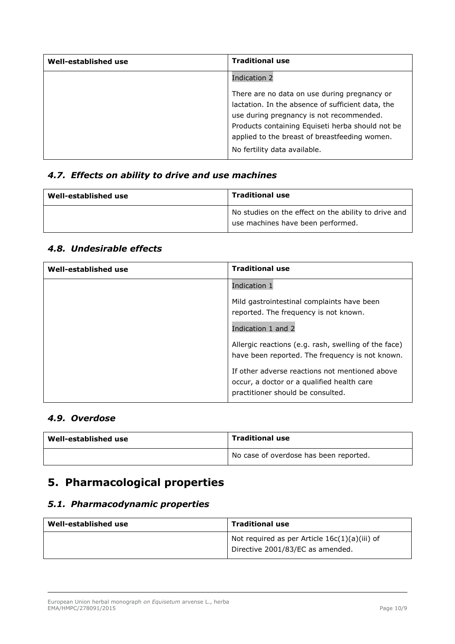| Well-established use | <b>Traditional use</b>                                                                                                                                                                                                                             |
|----------------------|----------------------------------------------------------------------------------------------------------------------------------------------------------------------------------------------------------------------------------------------------|
|                      | Indication 2                                                                                                                                                                                                                                       |
|                      | There are no data on use during pregnancy or<br>lactation. In the absence of sufficient data, the<br>use during pregnancy is not recommended.<br>Products containing Equiseti herba should not be<br>applied to the breast of breastfeeding women. |
|                      | No fertility data available.                                                                                                                                                                                                                       |

#### *4.7. Effects on ability to drive and use machines*

| Well-established use | <b>Traditional use</b>                                                                    |
|----------------------|-------------------------------------------------------------------------------------------|
|                      | No studies on the effect on the ability to drive and<br>use machines have been performed. |

#### *4.8. Undesirable effects*

| Well-established use | <b>Traditional use</b>                                                                                                            |
|----------------------|-----------------------------------------------------------------------------------------------------------------------------------|
|                      | Indication 1                                                                                                                      |
|                      | Mild gastrointestinal complaints have been<br>reported. The frequency is not known.<br>Indication 1 and 2                         |
|                      | Allergic reactions (e.g. rash, swelling of the face)<br>have been reported. The frequency is not known.                           |
|                      | If other adverse reactions not mentioned above<br>occur, a doctor or a qualified health care<br>practitioner should be consulted. |

#### *4.9. Overdose*

| Well-established use | <b>Traditional use</b>                 |
|----------------------|----------------------------------------|
|                      | No case of overdose has been reported. |

## **5. Pharmacological properties**

#### *5.1. Pharmacodynamic properties*

| Well-established use | <b>Traditional use</b>                                                              |
|----------------------|-------------------------------------------------------------------------------------|
|                      | Not required as per Article $16c(1)(a)(iii)$ of<br>Directive 2001/83/EC as amended. |